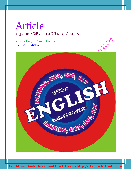वस्तु / लेख / निश्चित या अनिश्चित बनाने का साधन

Mishra English Study Centre BY – M. K. Mishra

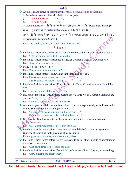Article is an Adjective or determiner that makes a Noun definite or Indefinite.  $\triangleright$  According to uses Article can be divided into two parts.

(i) Indefinite Article  $-(A / An)$ 

(ii) Definite Article - (The)

 $\triangleright$  Indefinite Article - यदि किसी शब्द के प्रथम अक्षर का उच्चारण किसी Consonant Sound (क,

ख, ग, ...) से होता हो, तो उसके पहले Indefinite Article "A" आता हैं।

जबकि यदि किसी शब्द के प्रथम अक्षर का उच्चारण किसी Vowel Sound (अ, आ, … अः) से होता हो,

तो उसके पहले "An" का प्रयोग होता हैं।

Ex.:- a car, a dog, an egg, an honest boy, an M.A …etc.

#### $*$  Uses  $\triangleright$

 $\cdot \cdot$  Indefinite Article comes to denote an Indefinite or uncertain Singular Countable Noun. Ex.:- A Boy is calling you outside the building.

• Indefinite Article comes to introduce a Singular Countable Noun in Indefinite way. Ex.:- I have a car it runs very well.

- $\bullet$  Many + a / an + S.C.N + S.V Ex.:- Many a student is laborious in Patna.
- Indefinite Article comes to show a unit in the meaning of "Per".
	- Ex.:- The banana is ten rupees per dozen.  $\bullet$   $\bullet$   $\bullet$ The banana is ten rupees a dozen.  $\bullet$   $\bullet$   $\bullet$   $\bullet$   $\bullet$   $\bullet$
- \* Indefinite Article comes before "Kind of / Sort of / Type of" to take about an Indefinite kind.

Ex.:- Rabies is a kind of disease with dogs.

 No. of gets Indefinite Article before itself to show a large No. of Countable Nouns in the sense of 'many'.

Ex.:- A no. of students are present in my class.

 Amount of gets Indefinite Article before itself to show a large quantity of an Uncountable Noun / Something in the meaning of 'much'.

Ex.:- An amount of rice is remaining in the kitchen.  $-(\checkmark)$ 

An amount of rice was boiled in the kitchen.  $-(\checkmark)$ 

 Great many / Good many gets Indefinite Article before itself to show a large no. of Countable Nouns.

Ex.:- A great many students are present in the class.

 Indefinite Article comes before 'Great deal of / Good deal of' to show a large no. or Quantity of something in the meaning of many / much. Ex.:- A great deal of student are present in my class.

 Indefinite Article comes before 'lot of' to show a large no. of or Quantity of something in the sense of many / much.

Ex.:- A lot of students are present in the class.

 $\bullet$  Indefinite Article comes before 'few / little' to show a small no. / Quantity of something. Ex.:- A few students are absent today.

BY – Pritam Kumar Raw Mob. - 9534411155 Page 2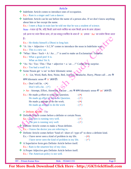|   | Article                                                                                                   |  |  |  |
|---|-----------------------------------------------------------------------------------------------------------|--|--|--|
|   | Indefinite Article comes to introduce ones of occupation.                                                 |  |  |  |
|   | Ex.:- Ram is a singer and I am a dancer.                                                                  |  |  |  |
| 餐 | Indefinite Article can be use before the name of a person also. If we don't know anything                 |  |  |  |
|   | about him or her except the name.                                                                         |  |  |  |
|   | Ex.:- I meet a Raju in train late he told me that he was a student of science.                            |  |  |  |
|   | Note - ध्यान रहे कि, यदि किसी जाने माने व्यक्ति का नाम किसी अन्य के साथ जोड़कर                            |  |  |  |
|   | 3से अन्य पर व्यंग किया जाय, तो उस मशहू रव्यक्ति के नाम में 'A' अथवा 'An' का प्रयोग किया जाता              |  |  |  |
|   | हैं।                                                                                                      |  |  |  |
|   |                                                                                                           |  |  |  |
|   | Ex.:- He thinks himself a Dhoni in long hair.                                                             |  |  |  |
|   | * "A / An + Adjective + S.C.N" comes to introduce the noun in Indefinite way.<br>Ex.:- This is a new car. |  |  |  |
|   |                                                                                                           |  |  |  |
|   | • "What / How / Such + A / An !" is used to make an Exclamation / Surprise.                               |  |  |  |
|   | Ex.:- What a good pen! It is.<br>What an Idea! Sir Ji.                                                    |  |  |  |
|   | * "As / So / Too / This / That + adjective + a / an !" Comes to so surprise.                              |  |  |  |
|   | Ex.:- Too bad a road! It is.                                                                              |  |  |  |
|   | Some Nouns get 'a /an' in their Idiomatic sense.                                                          |  |  |  |
|   | ▶ A - Lie, Word, Bath, Rest, Noise, Bed, Journey, Headache, Hurry, Phone call etc के                      |  |  |  |
|   | साथ Idiomatic sense में 'a' आता हैं।                                                                      |  |  |  |
|   | Ex.:- Don't tell lie. $-(\star)$                                                                          |  |  |  |
|   | Don't tell a lie. $-(\checkmark)$                                                                         |  |  |  |
|   | > An - Attempt, Effort, Attention, Excuse etc के साथ Idiomatic sense में 'an' आता हैं।                    |  |  |  |
|   | Ex.:- He made $\underline{a}$ effort to solve the Question.<br>$ (\times)$                                |  |  |  |
|   | He made an effort to solve the Question.<br>$ (\checkmark)$                                               |  |  |  |
|   | He made $\underline{a}$ attempt to do the work.<br>$-$ ( $\mathbf{x}$ )                                   |  |  |  |
|   | He made an attempt to do the work<br>$ (\checkmark)$                                                      |  |  |  |
|   |                                                                                                           |  |  |  |
|   | $\triangleright$ Definite Article - The                                                                   |  |  |  |
|   | Definite Article comes before a definite or certain Noun.                                                 |  |  |  |
|   | Ex.:- This pen is running very well.<br>$ (\checkmark)$                                                   |  |  |  |
|   | The pen is running very well.<br>$ (\checkmark)$                                                          |  |  |  |
|   | Definite Article comes to make a Noun definite.                                                           |  |  |  |
|   | <b>Ex.:-</b> I know the doctor you are referring to.                                                      |  |  |  |
|   | Definite Article comes before "kind of / short of / type of" to show a definite kind.                     |  |  |  |
|   | Ex.:- I have never seen a kind of problem in my life.<br>$ (\star)$                                       |  |  |  |
|   | I have never seen the kind of problem in my life.<br>$ (\checkmark)$                                      |  |  |  |
|   | A Superlative form gets Definite Article before itself.                                                   |  |  |  |
|   | Ex.:- Ram is the smartest boy of my class.                                                                |  |  |  |
|   | A Proper Adjective gets Definite Article before itself.                                                   |  |  |  |
|   | Ex.:- The American policy is not well.                                                                    |  |  |  |
|   |                                                                                                           |  |  |  |
|   | <b>BY</b> - Pritam Kumar Raw<br>Mob. - 9534411155<br>Page 3                                               |  |  |  |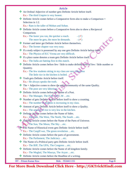| <b>Article</b>                                                                             |
|--------------------------------------------------------------------------------------------|
| An Ordinal Adjective of number gets Definite Article before itself.                        |
| Ex.:- The third Umpire is very honest.                                                     |
| Definite Article comes before a Comparative form also to make a Comparison +               |
| Selection in 1:2.                                                                          |
| Ex.:- Ram is the taller of Mohan and Sohan.                                                |
| Definite Article comes before a Comparative form also to show a Reciprocal                 |
| Comparison.                                                                                |
| Ex.:- The faster you run, the quicker a reach.<br>$ (\checkmark)$                          |
| $ (\checkmark)$<br>The more he gets, the more he demands.                                  |
| * Former and latter get Definite Article before themselves.                                |
| Ex.:- The former chapter was very easy.                                                    |
| * If a study subject is possessed by any one gets Definite Article before itself.          |
| Ex.:- The Physics of H.C Verma are very difficult.                                         |
| <b>V</b> If a place name denotes a team gets Definite Article before itself.               |
| Ex.:- The India are batting first in this match.                                           |
| Definite Article comes before few / little to make definite form of few / little number or |
| Quantity.                                                                                  |
| Ex.:- The few students sitting in my class are very laborrous                              |
| The little rice in the kitchen is boiled.                                                  |
| Truth gets Definite Article before itself.                                                 |
| Ex.:- He always speaks the truth.                                                          |
| $\mathbf{\hat{*}}$ The + Adjective comes to show the entire community of the same Quality. |
| Ex.:- The poor are very laborious.                                                         |
| Definite Article comes before the Name of a Post.                                          |
| Ex.:- The Manager, The P.M. The C.M  etc.                                                  |
| Number of gets Definite Article before itself to show a counting.                          |
| Ex.:- The number of students is increasing in my class.                                    |
| Amount of gets Definite Article before itself to show a Quality.                           |
| Ex.:- The amount of rice is very low in the kitchen.                                       |
| Definite Article comes before the Name of Sides.                                           |
| Ex.:- The East, The West, The North, The South  etc.                                       |
| Definite Article comes before the Name of the Parts of Universe.                           |
| $\mathbf{Ex}$ : The Sun, The Moon, The Sky  etc.                                           |
| The Name of Historical event gets Definite Article before itself.                          |
| Ex.:- The Cargill war, The green revolution  etc.                                          |
| Definite Article comes before the parts of government.                                     |
| Ex.:- The Parliament, The Judiciary etc.                                                   |
| The Name of a Political party gets Definite Article before itself.                         |
| Ex.:- The BJP, The UPA, The Congress etc.                                                  |
| Definite Article comes before the Name of all kingdom family.                              |
| Ex.:- The Mughal, The Maurya, The Aryan etc.                                               |
| Definite Article comes before the Headline of a writing.                                   |

BY – Pritam Kumar Raw Mob. - 9534411155 Page 4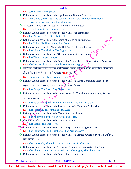Ex.:- Write a note on the poverty.

Definite Article comes before the repetition of a Noun in Sentence.

Ex.:- I have a pen, when I saw the pen first time I knew that it would run well. I have a car but now I want to sell the car.

- $\triangle$  A Weather Name + Season get Definite Article before itself. Ex.:- He will come in the winter season.
- Definite Article comes before the Proper Name of an armed forces. Ex.:- The Air force, The BSF, The CRPF …etc.
- Definite Article comes before the Name of a Musical Instruments. Ex.:- The Tabla, The Harmonium, The Drum …etc.
- Definite Article comes the Name of a Religion, Caste or Sub-caste. Ex.:- The Hindu, The Muslim, The Rajput …etc.
- Definite Article comes before a Title Name (without proper name). Ex.:- The Tiwari is a good singer.
- Definite Article comes before the Name of a Person also if it comes with its Adjective. Ex.:- The late Gandhi ji the honorable Manmohan Singh.
- $\dots$ े यदि किसी जाने माने व्यक्ति का नाम किसी अन्य के नाम के साथ जोड़ कर प्रशंसा का भाव दर्शाया जाए, तो उस विख्यात व्यक्ति के नाम में Article "The" आता हैं।

Ex.:- Kalidas was the Shakespeare of India.

- Definite Article comes before the Proper Name of a Water Containing Place (सागर, महासागर, नदी, नहर, झरना, तालाब ...etc का Proper Name) Ex.:- The Ganga, The Swez, The Chilka …etc.
- Definite Article comes before the proper name of a Travelling resource. (Ěेन, थलयान,

#### जलयान,वायुयान)

Ex.:- The Rajdhani Express, The Indian Airlines, The Vikrant …etc.

- Definite Article comes before the Proper Name of a Mountain Peak series. Ex.:- The Himalaya, The Vindhyanchal …etc.
- ◆ Definite Article comes before the Name of an Island series. Ex.:- The Andaman-Nicobar, The Newzeland …etc.
- Definite Article comes before the Name of Deserts. Ex.:- The Sahara, The Thar …etc.

◆ **Definite Article comes before the Name of Epic / Book / Magazine …etc.** 

- Ex.:- The Ramayana, The Mahabharata, The Arabian …etc.
- Definite Article comes before the Proper Name of a Printed Article. (समाचार-पत्र, पत्रिका, ग्रथ, पुस्तक ...etc.)

Ex.:- The The Hindu, The India Today, The Times of India …etc.

- ◆ Definite Article comes before a Telecasting Program or Broadcasting Program. Ex.:- The Dhoom, The Khani Ghar - Ghar Ki, The Nagraj, The Dhruv …etc.
- Definite Article comes before the Name of an Organization.

BY – Pritam Kumar Raw Mob. - 9534411155 Page 5

**ANC**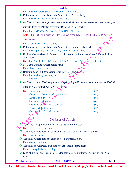| Ex.:- The Red-Cross Society, The Consumer Forum etc.                                                     |
|----------------------------------------------------------------------------------------------------------|
| Definite Article comes before the Name of the Parts of Body.<br>Ex.:- The Nose, The Eye's, The Hand etc. |
| ❖ यदि किसी Abbreviation (संक्षेप) के प्रत्येक अक्षर को मिलाकर एक शब्द की संरचना बनाई जाती हो, तो         |
| वह किसी संस्था को दर्शाता हैं, और उसके साथ Article "The" आता हैं।                                        |
| Ex.:- The UNESCO, The SAARC, The UNICEF etc.                                                             |
| Note - यदि किसी Abbreviation के letter से Common Degree का पता चले, तो उसमे "A" अथवा                     |
| "An" आता हैं।                                                                                            |
|                                                                                                          |
| Ex.:- I am an M.A, You are a B.A.<br>Definite Article comes before the Name of the Unique of the world.  |
| Ex.:- The Tajmahal, The China wall, The Efill Tower  etc.                                                |
| If a Place Name shows its Internal world famous quality by name gets Definite Article                    |
| before itself.                                                                                           |
| Ex.:- The Punjab, The USA, The UK, The Scott-land, The Nether-land etc.                                  |
| Meal gets Definite Article before itself.                                                                |
| Ex.:- I have taken the meal.                                                                             |
| * Beginning and End gets Definite Article before themselves.                                             |
| Ex.:- The beginning was very artistic.<br>The End.                                                       |
| ❖ यदि किसी Noun को किसी Preposition के पहले रखते हु एनिश्चितता का भाव दरश्य जाए, तो किसी भी              |
|                                                                                                          |
| प्रकार के Noun के पहले Article "The" आता हैं।                                                            |
| Ex.:- Ram is honest.<br>$ (\checkmark)$<br>$ (\checkmark)$<br>The Ram of the Ramayana was great.         |
| Water is colourless.<br>$ (\checkmark)$                                                                  |
| The water is colourless.<br>$ (x)$                                                                       |
| The water of this river is very dirty.<br>$ (\checkmark)$                                                |
| Honesty is the best policy.<br>$ (\checkmark)$                                                           |
| $ (\checkmark)$<br>The Honesty of Gandhi is great.                                                       |
|                                                                                                          |
| No Uses of Article >                                                                                     |
| Generally a Proper Noun does not get Article before itself.                                              |
| $\mathbf{\mathbf{\mathsf{Ex}}}\mathbf{}$ India is a secular country.                                     |
| Generally Article does not come before a Common Noun Plural Number.                                      |
| Ex.:- Boys are honest.                                                                                   |
| Generally Article does not come before a Material Noun.<br>Ex.:- Water is colourless.                    |
| Generally an Abstract Noun does not get Article before itself.                                           |
| Ex.:- Honesty is the best policy.                                                                        |
| Kind of, Sort of and Type of etc stop taking Article if they come just after a "Wh-                      |
| word."                                                                                                   |
| <b>BY</b> - Pritam Kumar Raw<br>Page 6<br>Mob. - 9534411155                                              |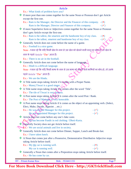|                                                | Article                                                                                      |                 |  |  |
|------------------------------------------------|----------------------------------------------------------------------------------------------|-----------------|--|--|
| Ex.:- What kinds of problem have you?          |                                                                                              |                 |  |  |
| except the first-one.                          | * If more post than one comes together for the same Noun or Pronoun don't get Article        |                 |  |  |
|                                                | Ex.:- Ram is the Manager, the Director and the Financer of this company. $-(\star)$          |                 |  |  |
|                                                | Ram is the Manager, Director and Financer of this company.                                   | $ (\checkmark)$ |  |  |
|                                                | <b>☆</b> If more Superlative form or Adjectives comes together for the same Noun or Pronoun  |                 |  |  |
| don't gets Article except the first-one.       |                                                                                              |                 |  |  |
|                                                | Ex.:- Ram is the tallest, the smartest and the handsome boy of my class.                     | $ (x)$          |  |  |
|                                                | Ram is the tallest, smartest and handsome boy of my class.                                   | $ (\checkmark)$ |  |  |
|                                                | * Generally Article does not come before the name of a game.                                 |                 |  |  |
| Ex.:- Football is a nice game.                 |                                                                                              |                 |  |  |
|                                                | Note - ध्यान रहे कि यदि किसी खेल के नाम से उस खेल को खेलने वाली वस्तु का बोध हो, तो खेल के   |                 |  |  |
| नाम के पहले Article "The" आता हैं।             |                                                                                              |                 |  |  |
| Ex.:- There is no air in the football.         |                                                                                              |                 |  |  |
|                                                | Generally Article does not come before the name of language.                                 |                 |  |  |
| Ex.:- Hindi is a difficult language.           |                                                                                              |                 |  |  |
|                                                | Note - ध्यान रहे कि यदि किसी भाषा के नाम से उस भाषा को बौलने वाले भाषियों का बोध हो, तो उसके |                 |  |  |
| पहले Article "The" आता हैं।                    |                                                                                              |                 |  |  |
| Ex.:- We are the Hindu.                        |                                                                                              |                 |  |  |
|                                                | A Title name stops taking Article if it comes with a Proper Name.                            |                 |  |  |
| Ex.:- Manoj Tiwari is a good singer.           |                                                                                              |                 |  |  |
|                                                | A Title name stops taking Article if it comes after the word 'Title'.                        |                 |  |  |
|                                                | Ex.:- The tile of Tiwari is very famous.                                                     |                 |  |  |
|                                                | A Post name stops taking Article if it comes after the word Post / Rank.                     |                 |  |  |
|                                                | Ex.:- The Post of Manager is very honorable.                                                 |                 |  |  |
|                                                | A Post name stops taking Article if it comes as the object of an appointing verb. (Select,   |                 |  |  |
| Elect, Make, Decide, Appoint etc.)             |                                                                                              |                 |  |  |
| Ex.:- He was elected Manager for this project. |                                                                                              | $ (\checkmark)$ |  |  |
|                                                | He was appointed Manager for this project.                                                   | $ (\checkmark)$ |  |  |
|                                                | Article does not come before any one's fake caste.                                           |                 |  |  |
|                                                | Ex <sub>i</sub> :- He has become Pandit in red clothing / Dhoti-Kurta.                       |                 |  |  |
|                                                | Generally Society does not get Article before itself.                                        |                 |  |  |
|                                                | $Ex$ : We are social animals and live in society.                                            |                 |  |  |
|                                                | Generally Article does not come before Dinner, Supper, Lunch and Break-fast.                 |                 |  |  |
| Ex.:- I have taken lunch.                      |                                                                                              |                 |  |  |
| 參<br>taking Article before itself.             | A Noun that comes just after a Possessive, Demonstrative Distributive Adjective stops        |                 |  |  |
| Ex.:- My the car is running well.              |                                                                                              | $ (\star)$      |  |  |
| My car is running well.                        |                                                                                              | $ (\checkmark)$ |  |  |
|                                                | * Generally a Noun that comes after a Preposition stops taking Article before itself.        |                 |  |  |
| Ex.:- He has come by car.                      |                                                                                              |                 |  |  |
| <b>BY</b> - Pritam Kumar Raw                   | Mob. - 9534411155                                                                            | Page 7          |  |  |
|                                                |                                                                                              |                 |  |  |